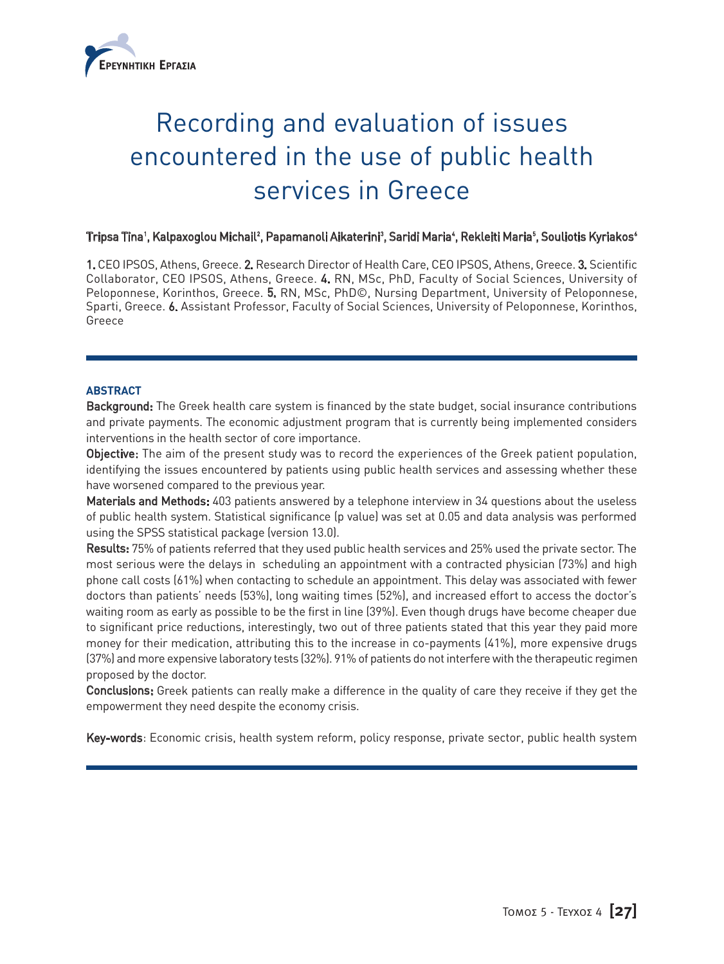

# Recording and evaluation of issues encountered in the use of public health services in Greece

## Tripsa Tina', Kalpaxoglou Michail<sup>2</sup>, Papamanoli Aikaterini<sup>3</sup>, Saridi Maria', Rekleiti Maria<sup>s</sup>, Souliotis Kyriakos'

1. CEO IPSOS, Athens, Greece. 2. Research Director of Health Care, CEO IPSOS, Athens, Greece. 3. Scientific Collaborator, CEO IPSOS, Athens, Greece. 4. RN, MSc, PhD, Faculty of Social Sciences, University of Peloponnese, Korinthos, Greece. 5. RN, MSc, PhD©, Nursing Department, University of Peloponnese, Sparti, Greece. 6. Assistant Professor, Faculty of Social Sciences, University of Peloponnese, Korinthos, Greece

## **ABSTRACT**

Background: The Greek health care system is financed by the state budget, social insurance contributions and private payments. The economic adjustment program that is currently being implemented considers interventions in the health sector of core importance.

Objective: The aim of the present study was to record the experiences of the Greek patient population, identifying the issues encountered by patients using public health services and assessing whether these have worsened compared to the previous year.

Materials and Methods: 403 patients answered by a telephone interview in 34 questions about the useless of public health system. Statistical significance (p value) was set at 0.05 and data analysis was performed using the SPSS statistical package (version 13.0).

Results: 75% of patients referred that they used public health services and 25% used the private sector. The most serious were the delays in scheduling an appointment with a contracted physician (73%) and high phone call costs (61%) when contacting to schedule an appointment. This delay was associated with fewer doctors than patients' needs (53%), long waiting times (52%), and increased effort to access the doctor's waiting room as early as possible to be the first in line (39%). Even though drugs have become cheaper due to significant price reductions, interestingly, two out of three patients stated that this year they paid more money for their medication, attributing this to the increase in co-payments (41%), more expensive drugs (37%) and more expensive laboratory tests (32%). 91% of patients do not interfere with the therapeutic regimen proposed by the doctor.

Conclusions: Greek patients can really make a difference in the quality of care they receive if they get the empowerment they need despite the economy crisis.

Key-words: Economic crisis, health system reform, policy response, private sector, public health system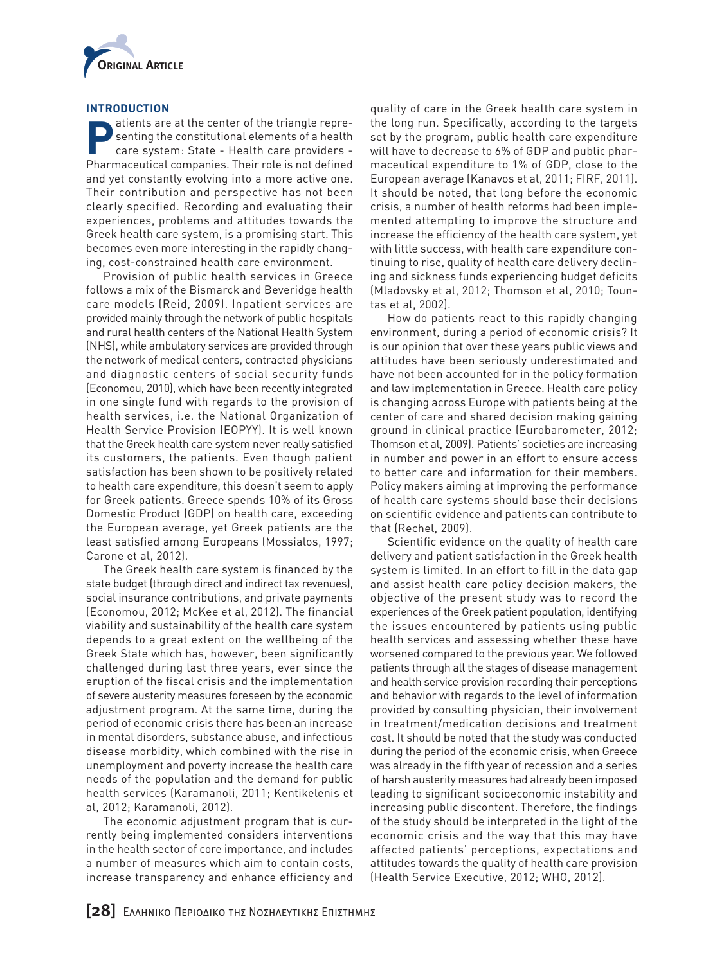

## **INTRODUCTION**

**Patients are at the center of the triangle repre-<br>
senting the constitutional elements of a health<br>
care system: State - Health care providers** senting the constitutional elements of a health care system: State - Health care providers - Pharmaceutical companies. Their role is not defined and yet constantly evolving into a more active one. Their contribution and perspective has not been clearly specified. Recording and evaluating their experiences, problems and attitudes towards the Greek health care system, is a promising start. This becomes even more interesting in the rapidly changing, cost-constrained health care environment.

Provision of public health services in Greece follows a mix of the Bismarck and Beveridge health care models (Reid, 2009). Inpatient services are provided mainly through the network of public hospitals and rural health centers of the National Health System (NHS), while ambulatory services are provided through the network of medical centers, contracted physicians and diagnostic centers of social security funds (Economou, 2010), which have been recently integrated in one single fund with regards to the provision of health services, i.e. the National Organization of Health Service Provision (EOPYY). It is well known that the Greek health care system never really satisfied its customers, the patients. Even though patient satisfaction has been shown to be positively related to health care expenditure, this doesn't seem to apply for Greek patients. Greece spends 10% of its Gross Domestic Product (GDP) on health care, exceeding the European average, yet Greek patients are the least satisfied among Europeans (Mossialos, 1997; Carone et al, 2012).

The Greek health care system is financed by the state budget (through direct and indirect tax revenues), social insurance contributions, and private payments (Economou, 2012; McKee et al, 2012). The financial viability and sustainability of the health care system depends to a great extent on the wellbeing of the Greek State which has, however, been significantly challenged during last three years, ever since the eruption of the fiscal crisis and the implementation of severe austerity measures foreseen by the economic adjustment program. At the same time, during the period of economic crisis there has been an increase in mental disorders, substance abuse, and infectious disease morbidity, which combined with the rise in unemployment and poverty increase the health care needs of the population and the demand for public health services (Karamanoli, 2011; Kentikelenis et al, 2012; Karamanoli, 2012).

The economic adjustment program that is currently being implemented considers interventions in the health sector of core importance, and includes a number of measures which aim to contain costs, increase transparency and enhance efficiency and

quality of care in the Greek health care system in the long run. Specifically, according to the targets set by the program, public health care expenditure will have to decrease to 6% of GDP and public pharmaceutical expenditure to 1% of GDP, close to the European average (Kanavos et al, 2011; FIRF, 2011). It should be noted, that long before the economic crisis, a number of health reforms had been implemented attempting to improve the structure and increase the efficiency of the health care system, yet with little success, with health care expenditure continuing to rise, quality of health care delivery declining and sickness funds experiencing budget deficits (Mladovsky et al, 2012; Thomson et al, 2010; Tountas et al, 2002).

How do patients react to this rapidly changing environment, during a period of economic crisis? It is our opinion that over these years public views and attitudes have been seriously underestimated and have not been accounted for in the policy formation and law implementation in Greece. Health care policy is changing across Europe with patients being at the center of care and shared decision making gaining ground in clinical practice (Eurobarometer, 2012; Thomson et al, 2009). Patients' societies are increasing in number and power in an effort to ensure access to better care and information for their members. Policy makers aiming at improving the performance of health care systems should base their decisions on scientific evidence and patients can contribute to that (Rechel, 2009).

Scientific evidence on the quality of health care delivery and patient satisfaction in the Greek health system is limited. In an effort to fill in the data gap and assist health care policy decision makers, the objective of the present study was to record the experiences of the Greek patient population, identifying the issues encountered by patients using public health services and assessing whether these have worsened compared to the previous year. We followed patients through all the stages of disease management and health service provision recording their perceptions and behavior with regards to the level of information provided by consulting physician, their involvement in treatment/medication decisions and treatment cost. It should be noted that the study was conducted during the period of the economic crisis, when Greece was already in the fifth year of recession and a series of harsh austerity measures had already been imposed leading to significant socioeconomic instability and increasing public discontent. Therefore, the findings of the study should be interpreted in the light of the economic crisis and the way that this may have affected patients' perceptions, expectations and attitudes towards the quality of health care provision (Health Service Executive, 2012; WHO, 2012).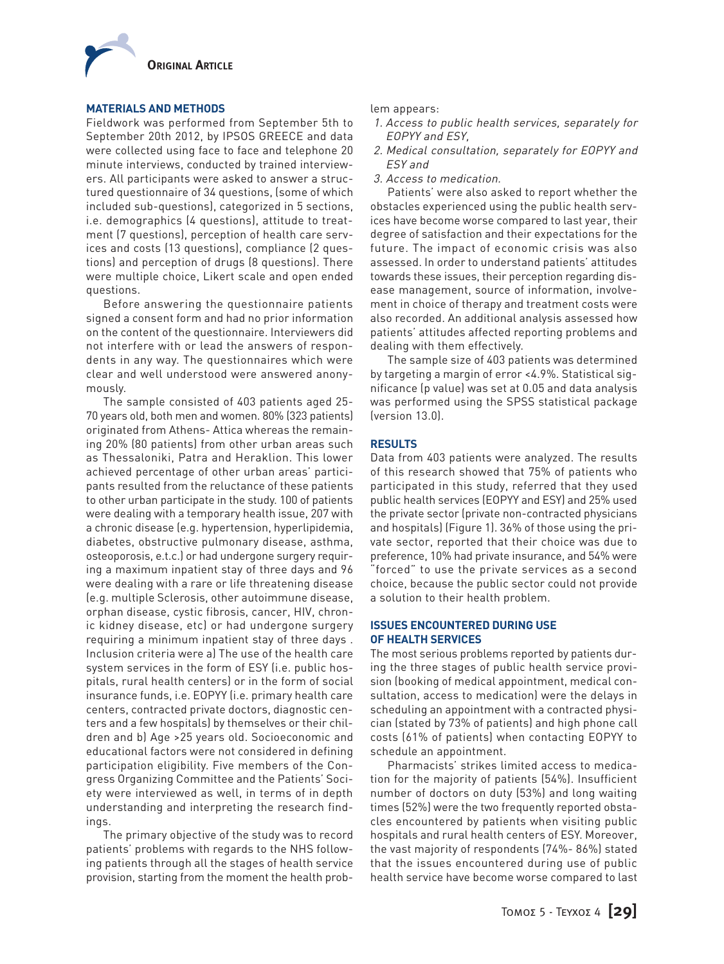

#### **MATERIALS AND METHODS**

Fieldwork was performed from September 5th to September 20th 2012, by IPSOS GREECE and data were collected using face to face and telephone 20 minute interviews, conducted by trained interviewers. All participants were asked to answer a structured questionnaire of 34 questions, (some of which included sub-questions), categorized in 5 sections, i.e. demographics (4 questions), attitude to treatment (7 questions), perception of health care services and costs (13 questions), compliance (2 questions) and perception of drugs (8 questions). There were multiple choice, Likert scale and open ended questions.

Before answering the questionnaire patients signed a consent form and had no prior information on the content of the questionnaire. Interviewers did not interfere with or lead the answers of respondents in any way. The questionnaires which were clear and well understood were answered anonymously.

The sample consisted of 403 patients aged 25- 70 years old, both men and women. 80% (323 patients) originated from Athens- Attica whereas the remaining 20% (80 patients) from other urban areas such as Thessaloniki, Patra and Heraklion. This lower achieved percentage of other urban areas' participants resulted from the reluctance of these patients to other urban participate in the study. 100 of patients were dealing with a temporary health issue, 207 with a chronic disease (e.g. hypertension, hyperlipidemia, diabetes, obstructive pulmonary disease, asthma, osteoporosis, e.t.c.) or had undergone surgery requiring a maximum inpatient stay of three days and 96 were dealing with a rare or life threatening disease (e.g. multiple Sclerosis, other autoimmune disease, orphan disease, cystic fibrosis, cancer, HIV, chronic kidney disease, etc) or had undergone surgery requiring a minimum inpatient stay of three days . Inclusion criteria were a) The use of the health care system services in the form of ESY (i.e. public hospitals, rural health centers) or in the form of social insurance funds, i.e. EOPYY (i.e. primary health care centers, contracted private doctors, diagnostic centers and a few hospitals) by themselves or their children and b) Age >25 years old. Socioeconomic and educational factors were not considered in defining participation eligibility. Five members of the Congress Organizing Committee and the Patients' Society were interviewed as well, in terms of in depth understanding and interpreting the research findings.

The primary objective of the study was to record patients' problems with regards to the NHS following patients through all the stages of health service provision, starting from the moment the health problem appears:

- 1. Access to public health services, separately for EOPYY and ESY,
- 2. Medical consultation, separately for EOPYY and ESY and
- 3. Access to medication.

Patients' were also asked to report whether the obstacles experienced using the public health services have become worse compared to last year, their degree of satisfaction and their expectations for the future. The impact of economic crisis was also assessed. In order to understand patients' attitudes towards these issues, their perception regarding disease management, source of information, involvement in choice of therapy and treatment costs were also recorded. An additional analysis assessed how patients' attitudes affected reporting problems and dealing with them effectively.

The sample size of 403 patients was determined by targeting a margin of error <4.9%. Statistical significance (p value) was set at 0.05 and data analysis was performed using the SPSS statistical package (version 13.0).

## **RESULTS**

Data from 403 patients were analyzed. The results of this research showed that 75% of patients who participated in this study, referred that they used public health services (EOPYY and ESY) and 25% used the private sector (private non-contracted physicians and hospitals) (Figure 1). 36% of those using the private sector, reported that their choice was due to preference, 10% had private insurance, and 54% were "forced" to use the private services as a second choice, because the public sector could not provide a solution to their health problem.

## **ISSUES ENCOUNTERED DURING USE OF HEALTH SERVICES**

The most serious problems reported by patients during the three stages of public health service provision (booking of medical appointment, medical consultation, access to medication) were the delays in scheduling an appointment with a contracted physician (stated by 73% of patients) and high phone call costs (61% of patients) when contacting EOPYY to schedule an appointment.

Pharmacists' strikes limited access to medication for the majority of patients (54%). Insufficient number of doctors on duty (53%) and long waiting times (52%) were the two frequently reported obstacles encountered by patients when visiting public hospitals and rural health centers of ESY. Moreover, the vast majority of respondents (74%- 86%) stated that the issues encountered during use of public health service have become worse compared to last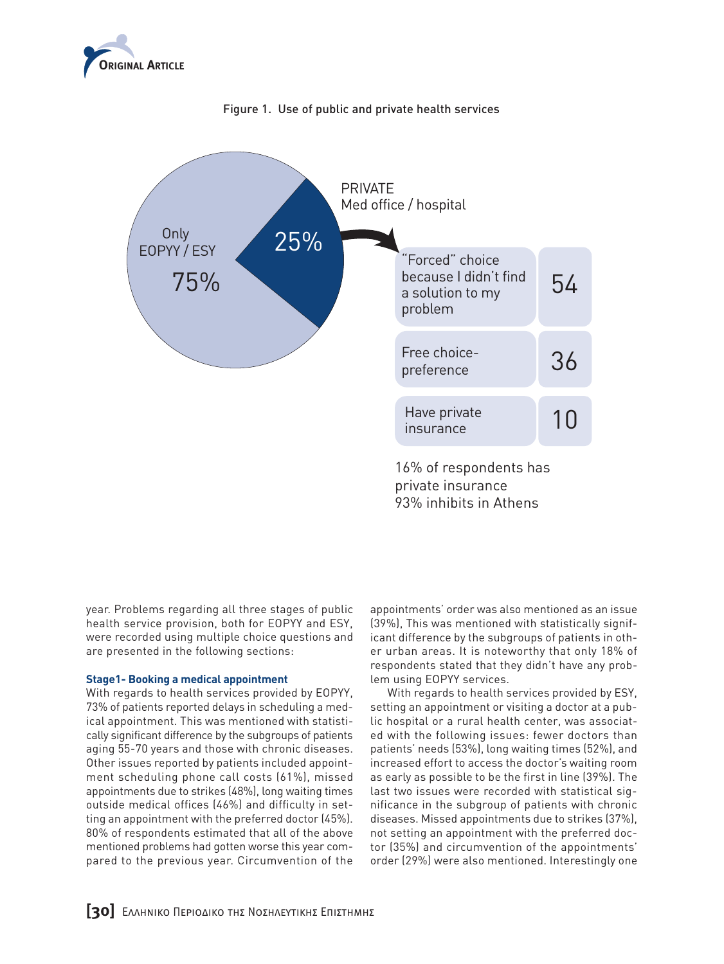





year. Problems regarding all three stages of public year: Troblems regarding att timed stages or pablic<br>health service provision, both for EOPYY and ESY, were recorded using multiple choice questions and are presented in the following sections:

## **Stage1- Booking a medical appointment**

With regards to health services provided by EOPYY, 73% of patients reported delays in scheduling a medical appointment. This was mentioned with statistically significant difference by the subgroups of patients aging 55-70 years and those with chronic diseases. Other issues reported by patients included appointment scheduling phone call costs (61%), missed appointments due to strikes (48%), long waiting times outside medical offices (46%) and difficulty in setting an appointment with the preferred doctor (45%). an upperminent minimity presented doctor (1976). mentioned problems had gotten worse this year commemoned problems had gotten worse ans year com-<br>pared to the previous year. Circumvention of the rious year. Uircui

appointments' order was also mentioned as an issue 54 (39%), This was mentioned with statistically significant difference by the subgroups of patients in other urban areas. It is noteworthy that only 18% of er urban areas. It is noteworthy that only 18% of<br>respondents stated that they didn't have any problem using EOPYY services.

With regards to health services provided by ESY, which eyen us to heatth services provided by EST,<br>-setting an appointment or visiting a doctor at a public hospital or a rural health center, was associated with the following issues: fewer doctors than ed with the following issues, lewer doctors than<br>patients' needs (53%), long waiting times (52%), and increased effort to access the doctor's waiting room as early as possible to be the first in line (39%). The as early as possible to be the mist in the (37%). The<br>last two issues were recorded with statistical significance in the subgroup of patients with chronic diseases. Missed appointments due to strikes (37%), e not setting an appointment with the preferred doctor (35%) and circumvention of the appointments' order (29%) were also mentioned. Interestingly one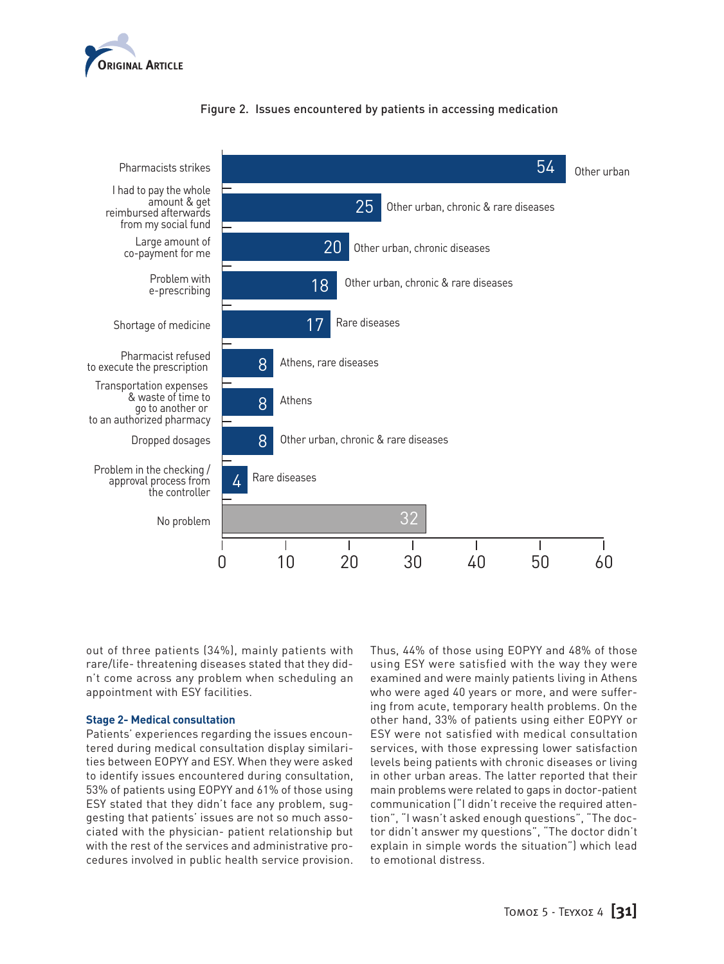



## Figure 2. Issues encountered by patients in accessing medication

out of three patients (34%), mainly patients with rare/life- threatening diseases stated that they didn't come across any problem when scheduling an appointment with ESY facilities.

#### **Stage 2- Medical consultation**

Patients' experiences regarding the issues encountered during medical consultation display similarities between EOPYY and ESY. When they were asked to identify issues encountered during consultation, 11 53% of patients using EOPYY and 61% of those using ESY stated that they didn't face any problem, sug-16 gesting that patients' issues are not so much associated with the physician- patient relationship but with the rest of the services and administrative procedures involved in public health service provision. 22

Thus, 44% of those using EOPYY and 48% of those using ESY were satisfied with the way they were examined and were mainly patients living in Athens exammed and were mainty pattents tiving in Athens<br>who were aged 40 years or more, and were suffering from acute, temporary health problems. On the other hand, 33% of patients using either EOPYY or 96 ESY were not satisfied with medical consultation services, with those expressing lower satisfaction levels being patients with chronic diseases or living in other urban areas. The latter reported that their main problems were related to gaps in doctor-patient communication ("I didn't receive the required attention", "I wasn't asked enough questions", "The doctor didn't answer my questions", "The doctor didn't tor didn't answer my questions, The doctor didn't<br>explain in simple words the situation") which lead to emotional distress.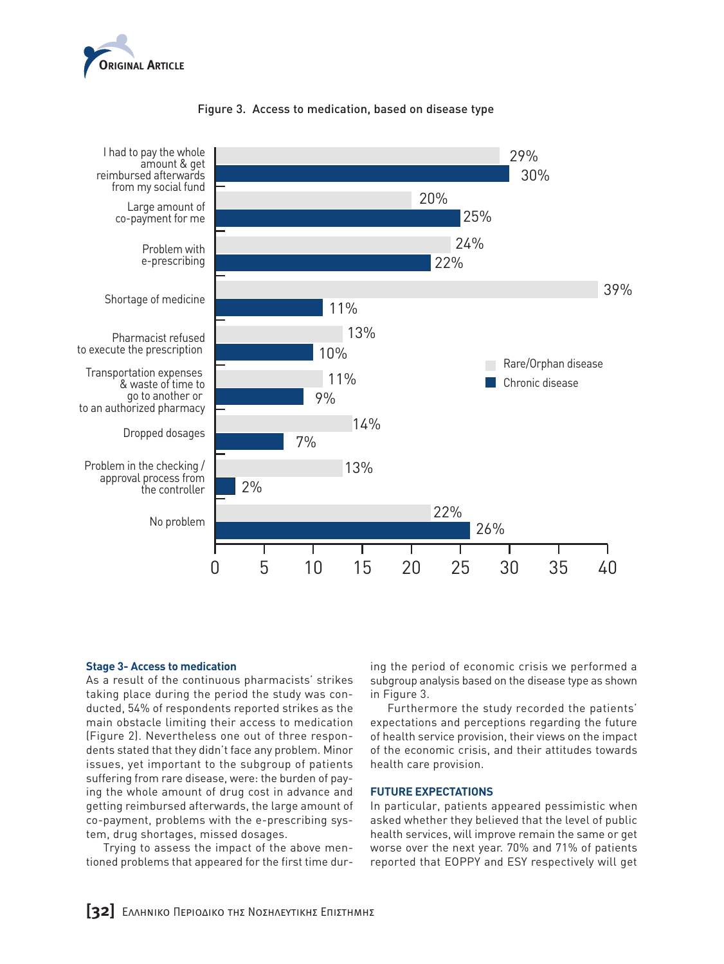



## Figure 3. Access to medication, based on disease type

#### **Stage 3- Access to medication**

As a result of the continuous pharmacists' strikes taking place during the period the study was conducted, 54% of respondents reported strikes as the main obstacle limiting their access to medication (Figure 2). Nevertheless one out of three respondents stated that they didn't face any problem. Minor issues, yet important to the subgroup of patients suffering from rare disease, were: the burden of paying the whole amount of drug cost in advance and getting reimbursed afterwards, the large amount of co-payment, problems with the e-prescribing system, drug shortages, missed dosages.

Trying to assess the impact of the above mentioned problems that appeared for the first time duren<br>ge<br>jt

ing the period of economic crisis we performed a subgroup analysis based on the disease type as shown in Figure 3.

Furthermore the study recorded the patients' expectations and perceptions regarding the future of health service provision, their views on the impact of the economic crisis, and their attitudes towards health care provision.

#### **FUTURE EXPECTATIONS**

In particular, patients appeared pessimistic when asked whether they believed that the level of public health services, will improve remain the same or get meator services, with improve remain the same or get<br>worse over the next year. 70% and 71% of patients reported that EOPPY and ESY respectively will get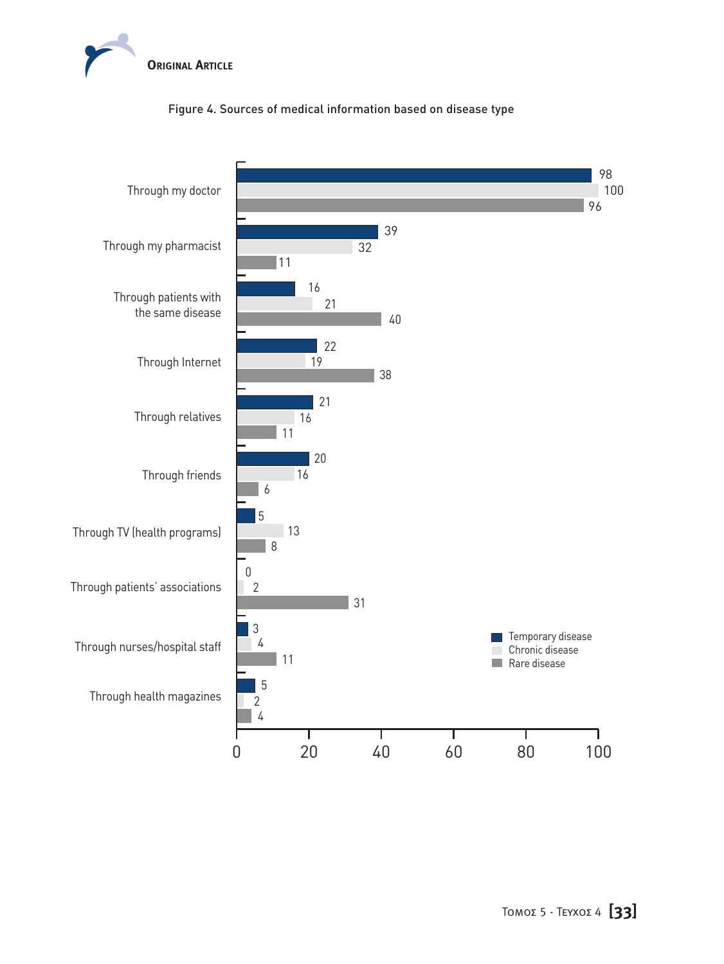

# Figure 4. Sources of medical information based on disease type

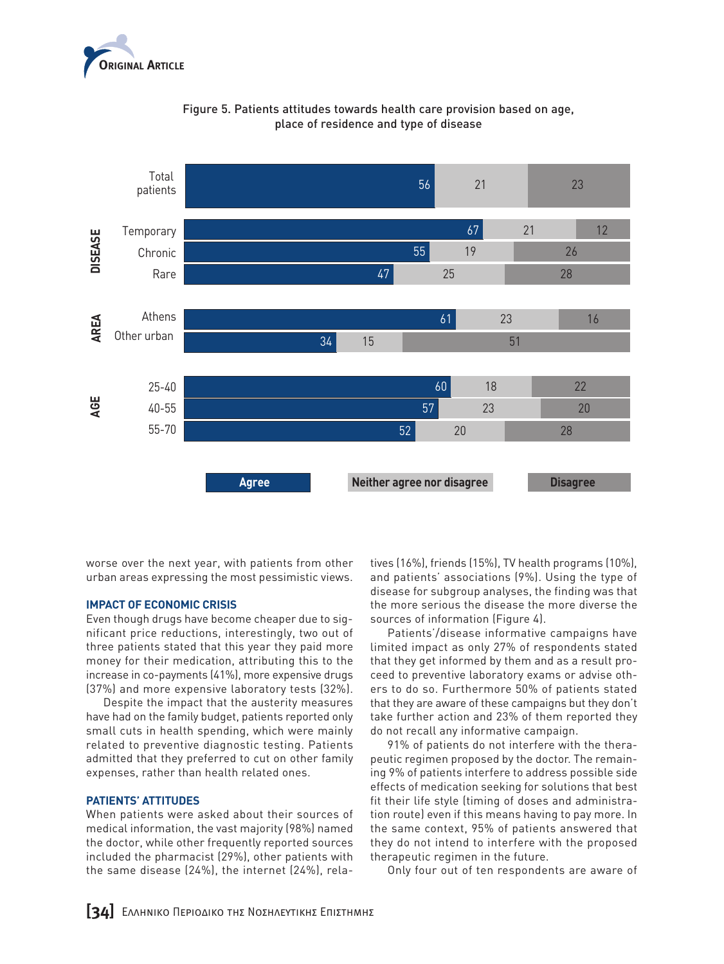



Figure 5. Patients attitudes towards health care provision based on age, place of residence and type of disease

worse over the next year, with patients from other urban areas expressing the most pessimistic views.

#### **IMPACT OF ECONOMIC CRISIS**

Even though drugs have become cheaper due to significant price reductions, interestingly, two out of three patients stated that this year they paid more money for their medication, attributing this to the increase in co-payments (41%), more expensive drugs (37%) and more expensive laboratory tests (32%).

The interesting the control control control to the control of the impact that the austerity measures have had on the family budget, patients reported only small cuts in health spending, which were mainly related to preventive diagnostic testing. Patients admitted that they preferred to cut on other family expenses, rather than health related ones.

#### **PATIENTS' ATTITUDES**

When patients were asked about their sources of medical information, the vast majority (98%) named the doctor, while other frequently reported sources included the pharmacist (29%), other patients with the same disease (24%), the internet (24%), rela-

tives (16%), friends (15%), TV health programs (10%), and patients' associations (9%). Using the type of disease for subgroup analyses, the finding was that the more serious the disease the more diverse the sources of information (Figure 4).

Patients'/disease informative campaigns have limited impact as only 27% of respondents stated that they get informed by them and as a result proexample of the contracted by them and as a researched to preventive laboratory exams or advise others to do so. Furthermore 50% of patients stated that they are aware of these campaigns but they don't take further action and 23% of them reported they do not recall any informative campaign.

91% of patients do not interfere with the therapeutic regimen proposed by the doctor. The remaining 9% of patients interfere to address possible side effects of medication seeking for solutions that best fit their life style (timing of doses and administration route) even if this means having to pay more. In the same context, 95% of patients answered that they do not intend to interfere with the proposed therapeutic regimen in the future.

Only four out of ten respondents are aware of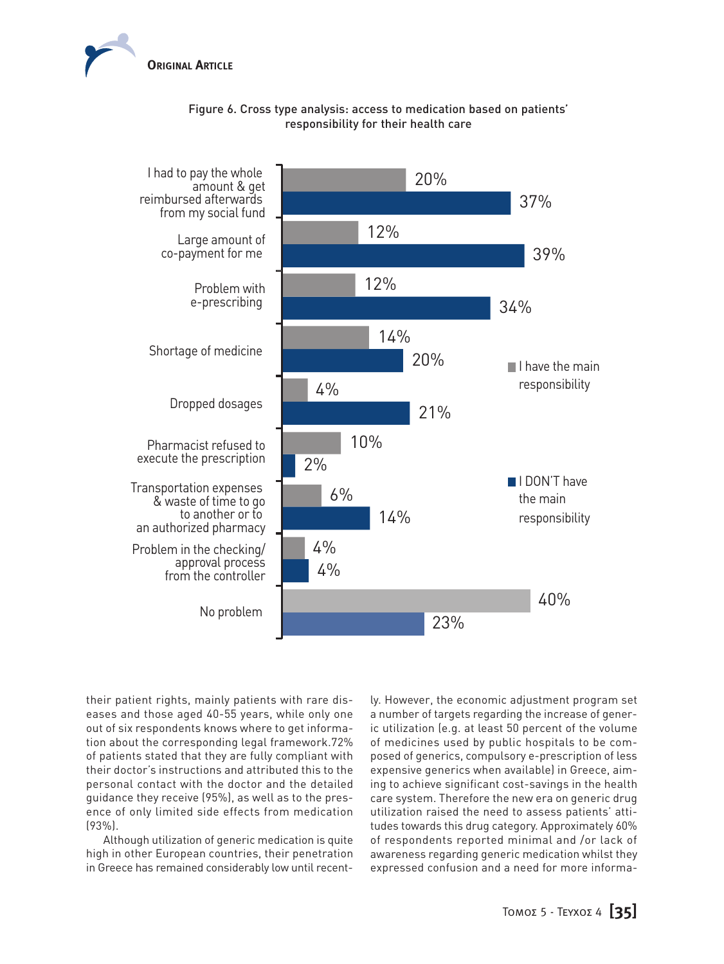

# Figure 6. Cross type analysis: access to medication based on patients' responsibility for their health care



their patient rights, mainly patients with rare diseases and those aged 40-55 years, while only one out of six respondents knows where to get information about the corresponding legal framework.72% of patients stated that they are fully compliant with their doctor's instructions and attributed this to the personal contact with the doctor and the detailed guidance they receive (95%), as well as to the presence of only limited side effects from medication (93%).

Although utilization of generic medication is quite high in other European countries, their penetration in Greece has remained considerably low until recently. However, the economic adjustment program set a number of targets regarding the increase of generic utilization (e.g. at least 50 percent of the volume of medicines used by public hospitals to be composed of generics, compulsory e-prescription of less expensive generics when available) in Greece, aiming to achieve significant cost-savings in the health care system. Therefore the new era on generic drug utilization raised the need to assess patients' attitudes towards this drug category. Approximately 60% of respondents reported minimal and /or lack of awareness regarding generic medication whilst they expressed confusion and a need for more informa-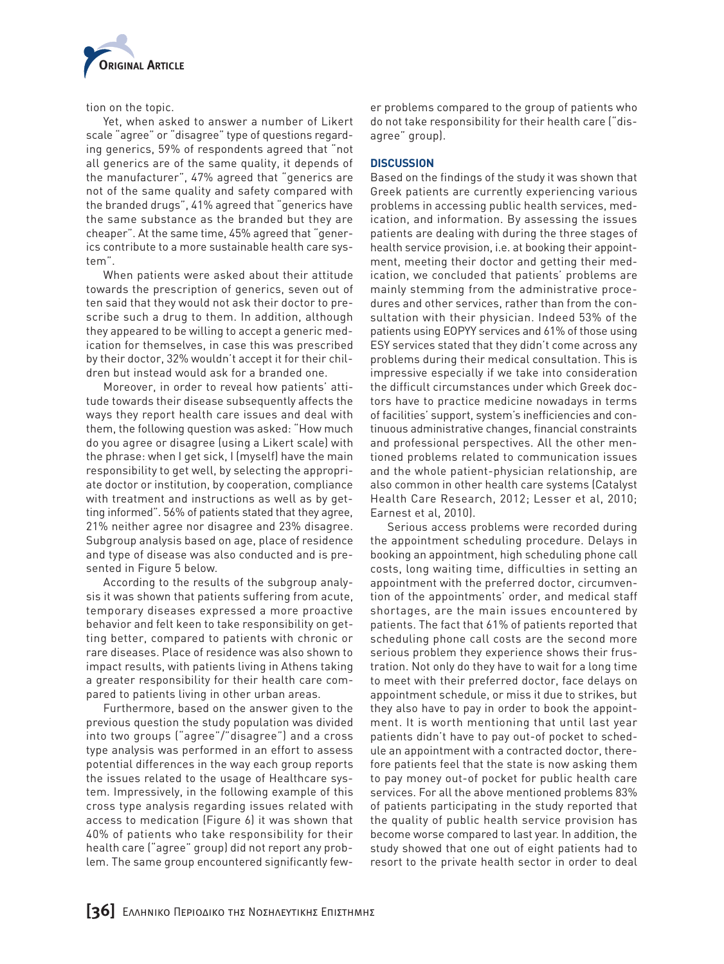

tion on the topic.

Yet, when asked to answer a number of Likert scale "agree" or "disagree" type of questions regarding generics, 59% of respondents agreed that "not all generics are of the same quality, it depends of the manufacturer", 47% agreed that "generics are not of the same quality and safety compared with the branded drugs", 41% agreed that "generics have the same substance as the branded but they are cheaper". At the same time, 45% agreed that "generics contribute to a more sustainable health care system".

When patients were asked about their attitude towards the prescription of generics, seven out of ten said that they would not ask their doctor to prescribe such a drug to them. In addition, although they appeared to be willing to accept a generic medication for themselves, in case this was prescribed by their doctor, 32% wouldn't accept it for their children but instead would ask for a branded one.

Moreover, in order to reveal how patients' attitude towards their disease subsequently affects the ways they report health care issues and deal with them, the following question was asked: "How much do you agree or disagree (using a Likert scale) with the phrase: when I get sick, I (myself) have the main responsibility to get well, by selecting the appropriate doctor or institution, by cooperation, compliance with treatment and instructions as well as by getting informed". 56% of patients stated that they agree, 21% neither agree nor disagree and 23% disagree. Subgroup analysis based on age, place of residence and type of disease was also conducted and is presented in Figure 5 below.

According to the results of the subgroup analysis it was shown that patients suffering from acute, temporary diseases expressed a more proactive behavior and felt keen to take responsibility on getting better, compared to patients with chronic or rare diseases. Place of residence was also shown to impact results, with patients living in Athens taking a greater responsibility for their health care compared to patients living in other urban areas.

Furthermore, based on the answer given to the previous question the study population was divided into two groups ("agree"/"disagree") and a cross type analysis was performed in an effort to assess potential differences in the way each group reports the issues related to the usage of Healthcare system. Impressively, in the following example of this cross type analysis regarding issues related with access to medication (Figure 6) it was shown that 40% of patients who take responsibility for their health care ("agree" group) did not report any problem. The same group encountered significantly few-

er problems compared to the group of patients who do not take responsibility for their health care ("disagree" group).

## **DISCUSSION**

Based on the findings of the study it was shown that Greek patients are currently experiencing various problems in accessing public health services, medication, and information. By assessing the issues patients are dealing with during the three stages of health service provision, i.e. at booking their appointment, meeting their doctor and getting their medication, we concluded that patients' problems are mainly stemming from the administrative procedures and other services, rather than from the consultation with their physician. Indeed 53% of the patients using EOPYY services and 61% of those using ESY services stated that they didn't come across any problems during their medical consultation. This is impressive especially if we take into consideration the difficult circumstances under which Greek doctors have to practice medicine nowadays in terms of facilities' support, system's inefficiencies and continuous administrative changes, financial constraints and professional perspectives. All the other mentioned problems related to communication issues and the whole patient-physician relationship, are also common in other health care systems (Catalyst Health Care Research, 2012; Lesser et al, 2010; Earnest et al, 2010).

Serious access problems were recorded during the appointment scheduling procedure. Delays in booking an appointment, high scheduling phone call costs, long waiting time, difficulties in setting an appointment with the preferred doctor, circumvention of the appointments' order, and medical staff shortages, are the main issues encountered by patients. The fact that 61% of patients reported that scheduling phone call costs are the second more serious problem they experience shows their frustration. Not only do they have to wait for a long time to meet with their preferred doctor, face delays on appointment schedule, or miss it due to strikes, but they also have to pay in order to book the appointment. It is worth mentioning that until last year patients didn't have to pay out-of pocket to schedule an appointment with a contracted doctor, therefore patients feel that the state is now asking them to pay money out-of pocket for public health care services. For all the above mentioned problems 83% of patients participating in the study reported that the quality of public health service provision has become worse compared to last year. In addition, the study showed that one out of eight patients had to resort to the private health sector in order to deal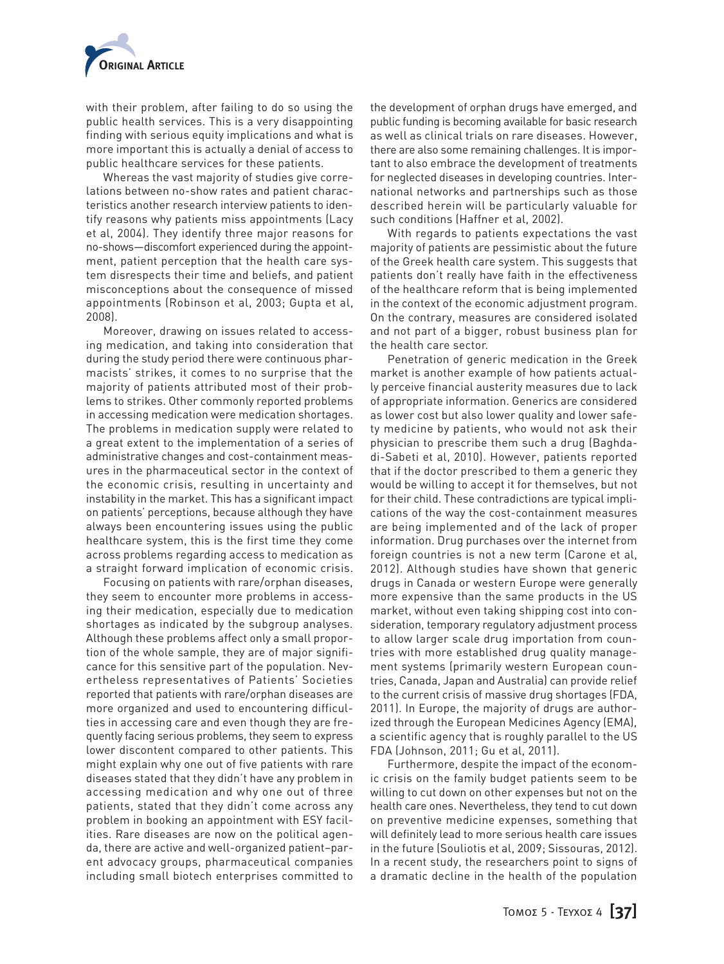

with their problem, after failing to do so using the public health services. This is a very disappointing finding with serious equity implications and what is more important this is actually a denial of access to public healthcare services for these patients.

Whereas the vast majority of studies give correlations between no-show rates and patient characteristics another research interview patients to identify reasons why patients miss appointments (Lacy et al, 2004). They identify three major reasons for no-shows—discomfort experienced during the appointment, patient perception that the health care system disrespects their time and beliefs, and patient misconceptions about the consequence of missed appointments (Robinson et al, 2003; Gupta et al, 2008).

Moreover, drawing on issues related to accessing medication, and taking into consideration that during the study period there were continuous pharmacists' strikes, it comes to no surprise that the majority of patients attributed most of their problems to strikes. Other commonly reported problems in accessing medication were medication shortages. The problems in medication supply were related to a great extent to the implementation of a series of administrative changes and cost-containment measures in the pharmaceutical sector in the context of the economic crisis, resulting in uncertainty and instability in the market. This has a significant impact on patients' perceptions, because although they have always been encountering issues using the public healthcare system, this is the first time they come across problems regarding access to medication as a straight forward implication of economic crisis.

Focusing on patients with rare/orphan diseases, they seem to encounter more problems in accessing their medication, especially due to medication shortages as indicated by the subgroup analyses. Although these problems affect only a small proportion of the whole sample, they are of major significance for this sensitive part of the population. Nevertheless representatives of Patients' Societies reported that patients with rare/orphan diseases are more organized and used to encountering difficulties in accessing care and even though they are frequently facing serious problems, they seem to express lower discontent compared to other patients. This might explain why one out of five patients with rare diseases stated that they didn't have any problem in accessing medication and why one out of three patients, stated that they didn't come across any problem in booking an appointment with ESY facilities. Rare diseases are now on the political agenda, there are active and well-organized patient–parent advocacy groups, pharmaceutical companies including small biotech enterprises committed to the development of orphan drugs have emerged, and public funding is becoming available for basic research as well as clinical trials on rare diseases. However, there are also some remaining challenges. It is important to also embrace the development of treatments for neglected diseases in developing countries. International networks and partnerships such as those described herein will be particularly valuable for such conditions (Haffner et al, 2002).

With regards to patients expectations the vast majority of patients are pessimistic about the future of the Greek health care system. This suggests that patients don't really have faith in the effectiveness of the healthcare reform that is being implemented in the context of the economic adjustment program. On the contrary, measures are considered isolated and not part of a bigger, robust business plan for the health care sector.

Penetration of generic medication in the Greek market is another example of how patients actually perceive financial austerity measures due to lack of appropriate information. Generics are considered as lower cost but also lower quality and lower safety medicine by patients, who would not ask their physician to prescribe them such a drug (Baghdadi-Sabeti et al, 2010). However, patients reported that if the doctor prescribed to them a generic they would be willing to accept it for themselves, but not for their child. These contradictions are typical implications of the way the cost-containment measures are being implemented and of the lack of proper information. Drug purchases over the internet from foreign countries is not a new term (Carone et al, 2012). Although studies have shown that generic drugs in Canada or western Europe were generally more expensive than the same products in the US market, without even taking shipping cost into consideration, temporary regulatory adjustment process to allow larger scale drug importation from countries with more established drug quality management systems (primarily western European countries, Canada, Japan and Australia) can provide relief to the current crisis of massive drug shortages (FDA, 2011). In Europe, the majority of drugs are authorized through the European Medicines Agency (EMA), a scientific agency that is roughly parallel to the US FDA (Johnson, 2011; Gu et al, 2011).

Furthermore, despite the impact of the economic crisis on the family budget patients seem to be willing to cut down on other expenses but not on the health care ones. Nevertheless, they tend to cut down on preventive medicine expenses, something that will definitely lead to more serious health care issues in the future (Souliotis et al, 2009; Sissouras, 2012). In a recent study, the researchers point to signs of a dramatic decline in the health of the population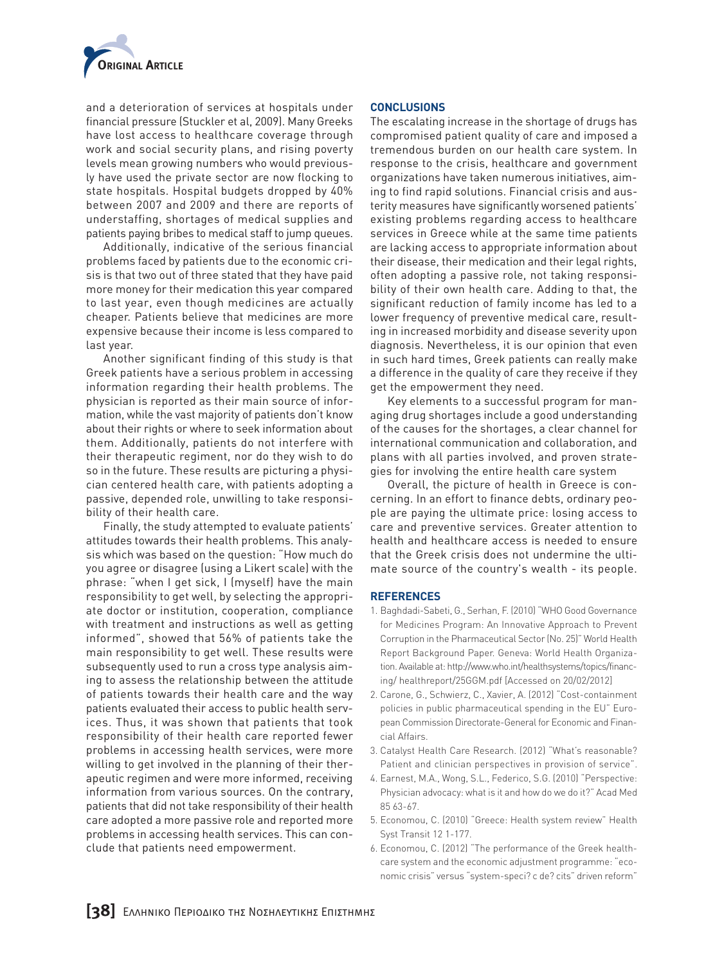

and a deterioration of services at hospitals under financial pressure (Stuckler et al, 2009). Many Greeks have lost access to healthcare coverage through work and social security plans, and rising poverty levels mean growing numbers who would previously have used the private sector are now flocking to state hospitals. Hospital budgets dropped by 40% between 2007 and 2009 and there are reports of understaffing, shortages of medical supplies and patients paying bribes to medical staff to jump queues.

Additionally, indicative of the serious financial problems faced by patients due to the economic crisis is that two out of three stated that they have paid more money for their medication this year compared to last year, even though medicines are actually cheaper. Patients believe that medicines are more expensive because their income is less compared to last year.

Another significant finding of this study is that Greek patients have a serious problem in accessing information regarding their health problems. The physician is reported as their main source of information, while the vast majority of patients don't know about their rights or where to seek information about them. Additionally, patients do not interfere with their therapeutic regiment, nor do they wish to do so in the future. These results are picturing a physician centered health care, with patients adopting a passive, depended role, unwilling to take responsibility of their health care.

Finally, the study attempted to evaluate patients' attitudes towards their health problems. This analysis which was based on the question: "How much do you agree or disagree (using a Likert scale) with the phrase: "when I get sick, I (myself) have the main responsibility to get well, by selecting the appropriate doctor or institution, cooperation, compliance with treatment and instructions as well as getting informed", showed that 56% of patients take the main responsibility to get well. These results were subsequently used to run a cross type analysis aiming to assess the relationship between the attitude of patients towards their health care and the way patients evaluated their access to public health services. Thus, it was shown that patients that took responsibility of their health care reported fewer problems in accessing health services, were more willing to get involved in the planning of their therapeutic regimen and were more informed, receiving information from various sources. On the contrary, patients that did not take responsibility of their health care adopted a more passive role and reported more problems in accessing health services. This can conclude that patients need empowerment.

#### **CONCLUSIONS**

The escalating increase in the shortage of drugs has compromised patient quality of care and imposed a tremendous burden on our health care system. In response to the crisis, healthcare and government organizations have taken numerous initiatives, aiming to find rapid solutions. Financial crisis and austerity measures have significantly worsened patients' existing problems regarding access to healthcare services in Greece while at the same time patients are lacking access to appropriate information about their disease, their medication and their legal rights, often adopting a passive role, not taking responsibility of their own health care. Adding to that, the significant reduction of family income has led to a lower frequency of preventive medical care, resulting in increased morbidity and disease severity upon diagnosis. Nevertheless, it is our opinion that even in such hard times, Greek patients can really make a difference in the quality of care they receive if they get the empowerment they need.

Key elements to a successful program for managing drug shortages include a good understanding of the causes for the shortages, a clear channel for international communication and collaboration, and plans with all parties involved, and proven strategies for involving the entire health care system

Overall, the picture of health in Greece is concerning. In an effort to finance debts, ordinary people are paying the ultimate price: losing access to care and preventive services. Greater attention to health and healthcare access is needed to ensure that the Greek crisis does not undermine the ultimate source of the country's wealth - its people.

#### **REFERENCES**

- 1. Baghdadi-Sabeti, G., Serhan, F. (2010) "WHO Good Governance for Medicines Program: An Innovative Approach to Prevent Corruption in the Pharmaceutical Sector (No. 25)" World Health Report Background Paper. Geneva: World Health Organization. Available at: http://www.who.int/healthsystems/topics/financing/ healthreport/25GGM.pdf [Accessed on 20/02/2012]
- 2. Carone, G., Schwierz, C., Xavier, A. (2012) "Cost-containment policies in public pharmaceutical spending in the EU" European Commission Directorate-General for Economic and Financial Affairs.
- 3. Catalyst Health Care Research. (2012) "What's reasonable? Patient and clinician perspectives in provision of service".
- 4. Earnest, M.A., Wong, S.L., Federico, S.G. (2010) "Perspective: Physician advocacy: what is it and how do we do it?" Acad Med 85 63-67.
- 5. Economou, C. (2010) "Greece: Health system review" Health Syst Transit 12 1-177.
- 6. Economou, C. (2012) "The performance of the Greek healthcare system and the economic adjustment programme: "economic crisis" versus "system-speci? c de? cits" driven reform"